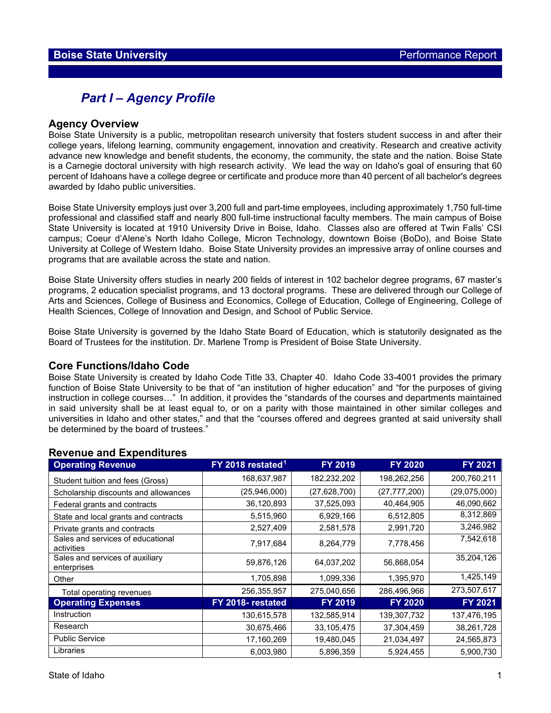## *Part I – Agency Profile*

#### **Agency Overview**

Boise State University is a public, metropolitan research university that fosters student success in and after their college years, lifelong learning, community engagement, innovation and creativity. Research and creative activity advance new knowledge and benefit students, the economy, the community, the state and the nation. Boise State is a Carnegie doctoral university with high research activity. We lead the way on Idaho's goal of ensuring that 60 percent of Idahoans have a college degree or certificate and produce more than 40 percent of all bachelor's degrees awarded by Idaho public universities.

Boise State University employs just over 3,200 full and part-time employees, including approximately 1,750 full-time professional and classified staff and nearly 800 full-time instructional faculty members. The main campus of Boise State University is located at 1910 University Drive in Boise, Idaho. Classes also are offered at Twin Falls' CSI campus; Coeur d'Alene's North Idaho College, Micron Technology, downtown Boise (BoDo), and Boise State University at College of Western Idaho. Boise State University provides an impressive array of online courses and programs that are available across the state and nation.

Boise State University offers studies in nearly 200 fields of interest in 102 bachelor degree programs, 67 master's programs, 2 education specialist programs, and 13 doctoral programs. These are delivered through our College of Arts and Sciences, College of Business and Economics, College of Education, College of Engineering, College of Health Sciences, College of Innovation and Design, and School of Public Service.

Boise State University is governed by the Idaho State Board of Education, which is statutorily designated as the Board of Trustees for the institution. Dr. Marlene Tromp is President of Boise State University.

#### **Core Functions/Idaho Code**

Boise State University is created by Idaho Code Title 33, Chapter 40. Idaho Code 33-4001 provides the primary function of Boise State University to be that of "an institution of higher education" and "for the purposes of giving instruction in college courses…" In addition, it provides the "standards of the courses and departments maintained in said university shall be at least equal to, or on a parity with those maintained in other similar colleges and universities in Idaho and other states," and that the "courses offered and degrees granted at said university shall be determined by the board of trustees."

| <b>Operating Revenue</b>                        | FY 2018 restated <sup>1</sup> | <b>FY 2019</b> | <b>FY 2020</b> | FY 2021      |
|-------------------------------------------------|-------------------------------|----------------|----------------|--------------|
| Student tuition and fees (Gross)                | 168,637,987                   | 182,232,202    | 198,262,256    | 200,760,211  |
| Scholarship discounts and allowances            | (25,946,000)                  | (27, 628, 700) | (27, 777, 200) | (29,075,000) |
| Federal grants and contracts                    | 36,120,893                    | 37,525,093     | 40,464,905     | 46,090,662   |
| State and local grants and contracts            | 5,515,960                     | 6,929,166      | 6,512,805      | 8,312,869    |
| Private grants and contracts                    | 2,527,409                     | 2,581,578      | 2,991,720      | 3,246,982    |
| Sales and services of educational<br>activities | 7,917,684                     | 8,264,779      | 7,778,456      | 7,542,618    |
| Sales and services of auxiliary<br>enterprises  | 59,876,126                    | 64,037,202     | 56,868,054     | 35,204,126   |
| Other                                           | 1,705,898                     | 1,099,336      | 1,395,970      | 1,425,149    |
| Total operating revenues                        | 256,355,957                   | 275,040,656    | 286,496,966    | 273,507,617  |
| <b>Operating Expenses</b>                       | FY 2018- restated             | FY 2019        | <b>FY 2020</b> | FY 2021      |
| Instruction                                     | 130,615,578                   | 132,585,914    | 139,307,732    | 137,476,195  |
| Research                                        | 30,675,466                    | 33,105,475     | 37,304,459     | 38,261,728   |
| <b>Public Service</b>                           | 17,160,269                    | 19,480,045     | 21,034,497     | 24,565,873   |
| Libraries                                       | 6,003,980                     | 5,896,359      | 5,924,455      | 5,900,730    |

#### **Revenue and Expenditures**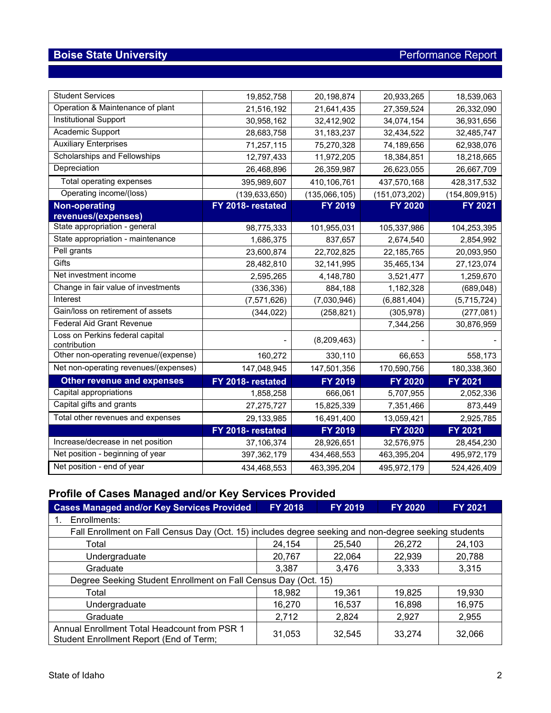| <b>Student Services</b>                         | 19,852,758        | 20,198,874    | 20,933,265      | 18,539,063      |
|-------------------------------------------------|-------------------|---------------|-----------------|-----------------|
| Operation & Maintenance of plant                | 21,516,192        | 21,641,435    | 27,359,524      | 26,332,090      |
| <b>Institutional Support</b>                    | 30,958,162        | 32,412,902    | 34,074,154      | 36,931,656      |
| Academic Support                                | 28,683,758        | 31,183,237    | 32,434,522      | 32,485,747      |
| <b>Auxiliary Enterprises</b>                    | 71,257,115        | 75,270,328    | 74,189,656      | 62,938,076      |
| Scholarships and Fellowships                    | 12,797,433        | 11,972,205    | 18,384,851      | 18,218,665      |
| Depreciation                                    | 26,468,896        | 26,359,987    | 26,623,055      | 26,667,709      |
| Total operating expenses                        | 395,989,607       | 410,106,761   | 437,570,168     | 428,317,532     |
| Operating income/(loss)                         | (139, 633, 650)   | (135,066,105) | (151, 073, 202) | (154, 809, 915) |
| <b>Non-operating</b>                            | FY 2018- restated | FY 2019       | <b>FY 2020</b>  | <b>FY 2021</b>  |
| revenues/(expenses)                             |                   |               |                 |                 |
| State appropriation - general                   | 98,775,333        | 101,955,031   | 105,337,986     | 104,253,395     |
| State appropriation - maintenance               | 1,686,375         | 837,657       | 2,674,540       | 2,854,992       |
| Pell grants                                     | 23,600,874        | 22,702,825    | 22,185,765      | 20,093,950      |
| Gifts                                           | 28,482,810        | 32, 141, 995  | 35,465,134      | 27,123,074      |
| Net investment income                           | 2,595,265         | 4,148,780     | 3,521,477       | 1,259,670       |
| Change in fair value of investments             | (336, 336)        | 884,188       | 1,182,328       | (689, 048)      |
| Interest                                        | (7, 571, 626)     | (7,030,946)   | (6,881,404)     | (5,715,724)     |
| Gain/loss on retirement of assets               | (344, 022)        | (258, 821)    | (305, 978)      | (277, 081)      |
| <b>Federal Aid Grant Revenue</b>                |                   |               | 7,344,256       | 30,876,959      |
| Loss on Perkins federal capital<br>contribution |                   | (8,209,463)   |                 |                 |
| Other non-operating revenue/(expense)           | 160,272           | 330,110       | 66,653          | 558,173         |
| Net non-operating revenues/(expenses)           | 147,048,945       | 147,501,356   | 170,590,756     | 180,338,360     |
| <b>Other revenue and expenses</b>               | FY 2018- restated | FY 2019       | <b>FY 2020</b>  | <b>FY 2021</b>  |
| Capital appropriations                          | 1,858,258         | 666,061       | 5,707,955       | 2,052,336       |
| Capital gifts and grants                        | 27,275,727        | 15,825,339    | 7,351,466       | 873,449         |
| Total other revenues and expenses               | 29,133,985        | 16,491,400    | 13,059,421      | 2,925,785       |
|                                                 | FY 2018- restated | FY 2019       | <b>FY 2020</b>  | <b>FY 2021</b>  |
| Increase/decrease in net position               | 37,106,374        | 28,926,651    | 32,576,975      | 28,454,230      |
| Net position - beginning of year                | 397,362,179       | 434,468,553   | 463,395,204     | 495,972,179     |
| Net position - end of year                      | 434,468,553       | 463,395,204   | 495,972,179     | 524,426,409     |

# **Profile of Cases Managed and/or Key Services Provided**

| <b>Cases Managed and/or Key Services Provided</b>                                                    | <b>FY 2018</b> | <b>FY 2019</b> | <b>FY 2020</b> | FY 2021 |  |  |  |  |
|------------------------------------------------------------------------------------------------------|----------------|----------------|----------------|---------|--|--|--|--|
| Enrollments:                                                                                         |                |                |                |         |  |  |  |  |
| Fall Enrollment on Fall Census Day (Oct. 15) includes degree seeking and non-degree seeking students |                |                |                |         |  |  |  |  |
| Total                                                                                                | 24,154         | 25,540         | 26,272         | 24,103  |  |  |  |  |
| Undergraduate                                                                                        | 20,767         | 22,064         | 22,939         | 20,788  |  |  |  |  |
| Graduate                                                                                             | 3,387          | 3,476          | 3,333          | 3,315   |  |  |  |  |
| Degree Seeking Student Enrollment on Fall Census Day (Oct. 15)                                       |                |                |                |         |  |  |  |  |
| Total                                                                                                | 18,982         | 19,361         | 19,825         | 19,930  |  |  |  |  |
| Undergraduate                                                                                        | 16,270         | 16,537         | 16,898         | 16,975  |  |  |  |  |
| Graduate                                                                                             | 2,712          | 2,824          | 2,927          | 2,955   |  |  |  |  |
| Annual Enrollment Total Headcount from PSR 1<br>Student Enrollment Report (End of Term;              | 31,053         | 32,545         | 33.274         | 32,066  |  |  |  |  |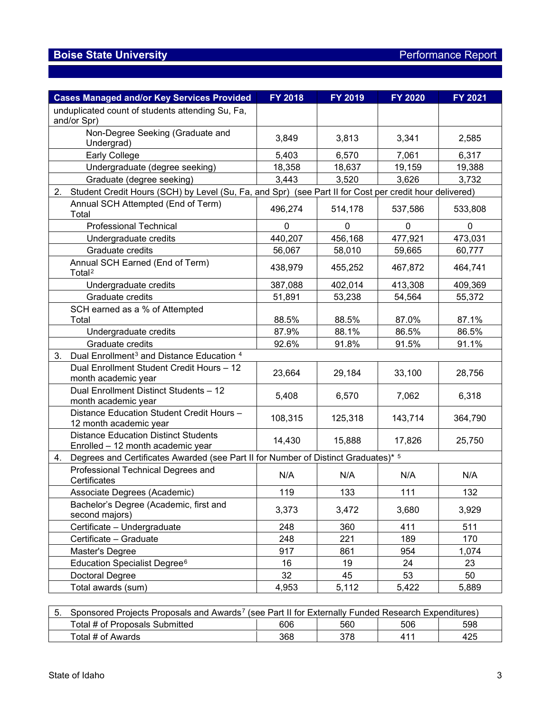| <b>Cases Managed and/or Key Services Provided</b>                                                            | <b>FY 2018</b> | FY 2019 | <b>FY 2020</b> | <b>FY 2021</b> |
|--------------------------------------------------------------------------------------------------------------|----------------|---------|----------------|----------------|
| unduplicated count of students attending Su, Fa,<br>and/or Spr)                                              |                |         |                |                |
| Non-Degree Seeking (Graduate and<br>Undergrad)                                                               | 3,849          | 3,813   | 3,341          | 2,585          |
| Early College                                                                                                | 5,403          | 6,570   | 7,061          | 6,317          |
| Undergraduate (degree seeking)                                                                               | 18,358         | 18,637  | 19,159         | 19,388         |
| Graduate (degree seeking)                                                                                    | 3,443          | 3,520   | 3,626          | 3,732          |
| Student Credit Hours (SCH) by Level (Su, Fa, and Spr) (see Part II for Cost per credit hour delivered)<br>2. |                |         |                |                |
| Annual SCH Attempted (End of Term)<br>Total                                                                  | 496,274        | 514,178 | 537,586        | 533,808        |
| <b>Professional Technical</b>                                                                                | 0              | 0       | 0              | $\mathbf{0}$   |
| Undergraduate credits                                                                                        | 440,207        | 456,168 | 477,921        | 473,031        |
| Graduate credits                                                                                             | 56,067         | 58,010  | 59,665         | 60,777         |
| Annual SCH Earned (End of Term)<br>Total <sup>2</sup>                                                        | 438,979        | 455,252 | 467,872        | 464,741        |
| Undergraduate credits                                                                                        | 387,088        | 402,014 | 413,308        | 409,369        |
| Graduate credits                                                                                             | 51,891         | 53,238  | 54,564         | 55,372         |
| SCH earned as a % of Attempted<br>Total                                                                      | 88.5%          | 88.5%   | 87.0%          | 87.1%          |
| Undergraduate credits                                                                                        | 87.9%          | 88.1%   | 86.5%          | 86.5%          |
| Graduate credits                                                                                             | 92.6%          | 91.8%   | 91.5%          | 91.1%          |
| Dual Enrollment <sup>3</sup> and Distance Education <sup>4</sup><br>3.                                       |                |         |                |                |
| Dual Enrollment Student Credit Hours - 12<br>month academic year                                             | 23,664         | 29,184  | 33,100         | 28,756         |
| Dual Enrollment Distinct Students - 12<br>month academic year                                                | 5,408          | 6,570   | 7,062          | 6,318          |
| Distance Education Student Credit Hours -<br>12 month academic year                                          | 108,315        | 125,318 | 143,714        | 364,790        |
| <b>Distance Education Distinct Students</b><br>Enrolled - 12 month academic year                             | 14,430         | 15,888  | 17,826         | 25,750         |
| Degrees and Certificates Awarded (see Part II for Number of Distinct Graduates)* 5<br>4.                     |                |         |                |                |
| Professional Technical Degrees and<br>Certificates                                                           | N/A            | N/A     | N/A            | N/A            |
| Associate Degrees (Academic)                                                                                 | 119            | 133     | 111            | 132            |
| Bachelor's Degree (Academic, first and<br>second majors)                                                     | 3,373          | 3,472   | 3,680          | 3,929          |
| Certificate - Undergraduate                                                                                  | 248            | 360     | 411            | 511            |
| Certificate - Graduate                                                                                       | 248            | 221     | 189            | 170            |
| Master's Degree                                                                                              | 917            | 861     | 954            | 1,074          |
| Education Specialist Degree <sup>6</sup>                                                                     | 16             | 19      | 24             | 23             |
| Doctoral Degree                                                                                              | 32             | 45      | 53             | 50             |
| Total awards (sum)                                                                                           | 4,953          | 5,112   | 5,422          | 5,889          |

| Sponsored Projects Proposals and Awards <sup>7</sup> (see Part II for Externally Funded Research Expenditures) |     |     |     |     |  |  |
|----------------------------------------------------------------------------------------------------------------|-----|-----|-----|-----|--|--|
| Total # of Proposals Submitted                                                                                 | 606 | 560 | 506 | 598 |  |  |
| Total # of Awards                                                                                              | 368 | 378 | 411 | 425 |  |  |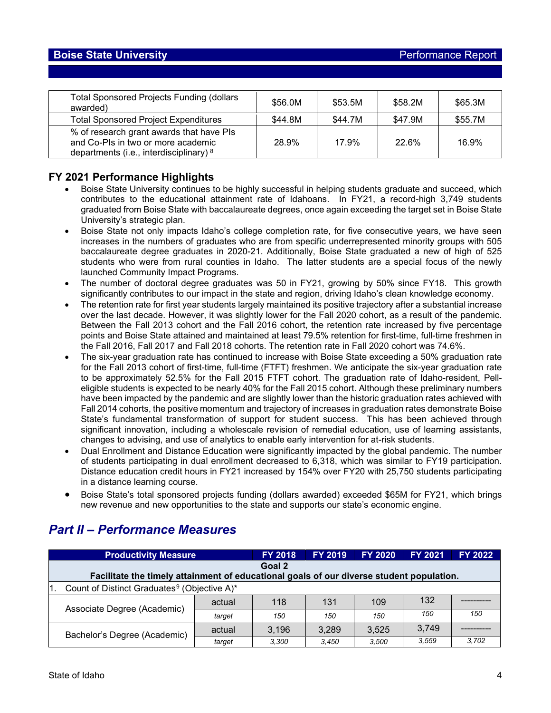| <b>Total Sponsored Projects Funding (dollars</b><br>awarded)                                                                | \$56.0M | \$53.5M | \$58.2M | \$65.3M |
|-----------------------------------------------------------------------------------------------------------------------------|---------|---------|---------|---------|
| <b>Total Sponsored Project Expenditures</b>                                                                                 | \$44.8M | \$44.7M | \$47.9M | \$55.7M |
| % of research grant awards that have PIs<br>and Co-PIs in two or more academic<br>departments (i.e., interdisciplinary) $8$ | 28.9%   | 17.9%   | 22.6%   | 16.9%   |

### **FY 2021 Performance Highlights**

- Boise State University continues to be highly successful in helping students graduate and succeed, which contributes to the educational attainment rate of Idahoans. In FY21, a record-high 3,749 students graduated from Boise State with baccalaureate degrees, once again exceeding the target set in Boise State University's strategic plan.
- Boise State not only impacts Idaho's college completion rate, for five consecutive years, we have seen increases in the numbers of graduates who are from specific underrepresented minority groups with 505 baccalaureate degree graduates in 2020-21. Additionally, Boise State graduated a new of high of 525 students who were from rural counties in Idaho. The latter students are a special focus of the newly launched Community Impact Programs.
- The number of doctoral degree graduates was 50 in FY21, growing by 50% since FY18. This growth significantly contributes to our impact in the state and region, driving Idaho's clean knowledge economy.
- The retention rate for first year students largely maintained its positive trajectory after a substantial increase over the last decade. However, it was slightly lower for the Fall 2020 cohort, as a result of the pandemic. Between the Fall 2013 cohort and the Fall 2016 cohort, the retention rate increased by five percentage points and Boise State attained and maintained at least 79.5% retention for first-time, full-time freshmen in the Fall 2016, Fall 2017 and Fall 2018 cohorts. The retention rate in Fall 2020 cohort was 74.6%.
- The six-year graduation rate has continued to increase with Boise State exceeding a 50% graduation rate for the Fall 2013 cohort of first-time, full-time (FTFT) freshmen. We anticipate the six-year graduation rate to be approximately 52.5% for the Fall 2015 FTFT cohort. The graduation rate of Idaho-resident, Pelleligible students is expected to be nearly 40% for the Fall 2015 cohort. Although these preliminary numbers have been impacted by the pandemic and are slightly lower than the historic graduation rates achieved with Fall 2014 cohorts, the positive momentum and trajectory of increases in graduation rates demonstrate Boise State's fundamental transformation of support for student success. This has been achieved through significant innovation, including a wholescale revision of remedial education, use of learning assistants, changes to advising, and use of analytics to enable early intervention for at-risk students.
- Dual Enrollment and Distance Education were significantly impacted by the global pandemic. The number of students participating in dual enrollment decreased to 6,318, which was similar to FY19 participation. Distance education credit hours in FY21 increased by 154% over FY20 with 25,750 students participating in a distance learning course.
- Boise State's total sponsored projects funding (dollars awarded) exceeded \$65M for FY21, which brings new revenue and new opportunities to the state and supports our state's economic engine.

| <b>Productivity Measure</b>                                                              |        | <b>FY 2018</b> | <b>FY 2019</b> | <b>FY 2020</b> | <b>FY 2021</b> | <b>FY 2022</b> |  |  |
|------------------------------------------------------------------------------------------|--------|----------------|----------------|----------------|----------------|----------------|--|--|
| Goal 2                                                                                   |        |                |                |                |                |                |  |  |
| Facilitate the timely attainment of educational goals of our diverse student population. |        |                |                |                |                |                |  |  |
| Count of Distinct Graduates <sup>9</sup> (Objective A)*                                  |        |                |                |                |                |                |  |  |
| Associate Degree (Academic)                                                              | actual | 118            | 131            | 109            | 132            |                |  |  |
|                                                                                          | target | 150            | 150            | 150            | 150            | 150            |  |  |
| Bachelor's Degree (Academic)                                                             | actual | 3,196          | 3.289          | 3.525          | 3,749          |                |  |  |
|                                                                                          | target | 3.300          | 3.450          | 3.500          | 3.559          | 3.702          |  |  |

## *Part II – Performance Measures*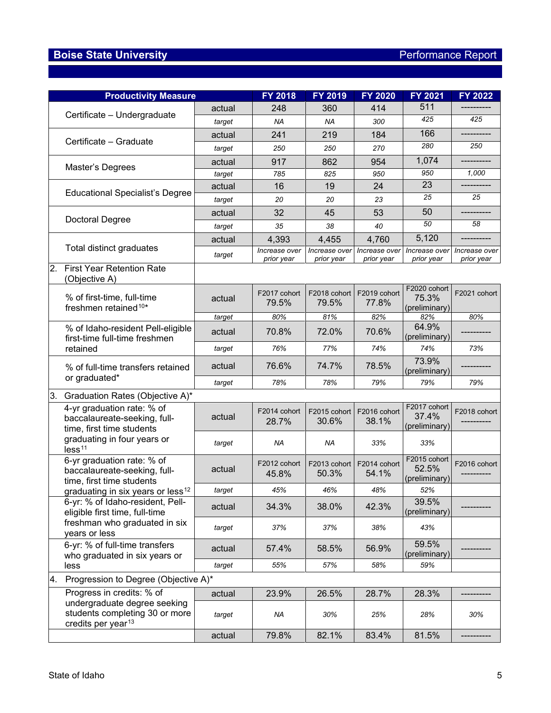|    | <b>Productivity Measure</b>                                                                      |        | <b>FY 2018</b>              | FY 2019                     | <b>FY 2020</b>              | <b>FY 2021</b>                         | <b>FY 2022</b>              |
|----|--------------------------------------------------------------------------------------------------|--------|-----------------------------|-----------------------------|-----------------------------|----------------------------------------|-----------------------------|
|    | Certificate - Undergraduate                                                                      | actual | 248                         | 360                         | 414                         | 511                                    |                             |
|    |                                                                                                  | target | ΝA                          | ΝA                          | 300                         | 425                                    | 425                         |
|    |                                                                                                  | actual | 241                         | 219                         | 184                         | 166                                    |                             |
|    | Certificate - Graduate                                                                           | target | 250                         | 250                         | 270                         | 280                                    | 250                         |
|    |                                                                                                  | actual | 917                         | 862                         | 954                         | 1,074                                  |                             |
|    | Master's Degrees                                                                                 | target | 785                         | 825                         | 950                         | 950                                    | 1,000                       |
|    |                                                                                                  | actual | 16                          | 19                          | 24                          | 23                                     |                             |
|    | <b>Educational Specialist's Degree</b>                                                           | target | 20                          | 20                          | 23                          | 25                                     | 25                          |
|    |                                                                                                  | actual | 32                          | 45                          | 53                          | 50                                     |                             |
|    | <b>Doctoral Degree</b>                                                                           | target | 35                          | 38                          | 40                          | 50                                     | 58                          |
|    |                                                                                                  | actual | 4,393                       | 4,455                       | 4,760                       | 5,120                                  |                             |
|    | Total distinct graduates                                                                         | target | Increase over<br>prior year | Increase over<br>prior year | Increase over<br>prior year | Increase over<br>prior year            | Increase over<br>prior year |
| 2. | <b>First Year Retention Rate</b><br>(Objective A)                                                |        |                             |                             |                             |                                        |                             |
|    | % of first-time, full-time<br>freshmen retained <sup>10*</sup>                                   | actual | F2017 cohort<br>79.5%       | F2018 cohort<br>79.5%       | F2019 cohort<br>77.8%       | F2020 cohort<br>75.3%<br>(preliminary) | F2021 cohort                |
|    |                                                                                                  | target | 80%                         | 81%                         | 82%                         | 82%                                    | 80%                         |
|    | % of Idaho-resident Pell-eligible<br>first-time full-time freshmen                               | actual | 70.8%                       | 72.0%                       | 70.6%                       | 64.9%<br>(preliminary)                 |                             |
|    | retained                                                                                         | target | 76%                         | 77%                         | 74%                         | 74%                                    | 73%                         |
|    | % of full-time transfers retained                                                                | actual | 76.6%                       | 74.7%                       | 78.5%                       | 73.9%<br>(preliminary)                 |                             |
|    | or graduated*                                                                                    | target | 78%                         | 78%                         | 79%                         | 79%                                    | 79%                         |
| 3. | Graduation Rates (Objective A)*                                                                  |        |                             |                             |                             |                                        |                             |
|    | 4-yr graduation rate: % of<br>baccalaureate-seeking, full-<br>time, first time students          | actual | F2014 cohort<br>28.7%       | F2015 cohort<br>30.6%       | F2016 cohort<br>38.1%       | F2017 cohort<br>37.4%<br>(preliminary) | F2018 cohort                |
|    | graduating in four years or<br>less <sup>11</sup>                                                | target | ΝA                          | ΝA                          | 33%                         | 33%                                    |                             |
|    | 6-yr graduation rate: % of<br>baccalaureate-seeking, full-<br>time, first time students          | actual | F2012 cohort<br>45.8%       | F2013 cohort<br>50.3%       | F2014 cohort<br>54.1%       | F2015 cohort<br>52.5%<br>(preliminary) | F2016 cohort                |
|    | graduating in six years or less <sup>12</sup>                                                    | target | 45%                         | 46%                         | 48%                         | 52%                                    |                             |
|    | 6-yr: % of Idaho-resident, Pell-<br>eligible first time, full-time                               | actual | 34.3%                       | 38.0%                       | 42.3%                       | 39.5%<br>(preliminary)                 |                             |
|    | freshman who graduated in six<br>years or less                                                   | target | 37%                         | 37%                         | 38%                         | 43%                                    |                             |
|    | 6-yr: % of full-time transfers<br>who graduated in six years or                                  | actual | 57.4%                       | 58.5%                       | 56.9%                       | 59.5%<br>(preliminary)                 |                             |
|    | less                                                                                             | target | 55%                         | 57%                         | 58%                         | 59%                                    |                             |
| 4. | Progression to Degree (Objective A)*                                                             |        |                             |                             |                             |                                        |                             |
|    | Progress in credits: % of                                                                        | actual | 23.9%                       | 26.5%                       | 28.7%                       | 28.3%                                  |                             |
|    | undergraduate degree seeking<br>students completing 30 or more<br>credits per year <sup>13</sup> | target | NA                          | 30%                         | 25%                         | 28%                                    | 30%                         |
|    |                                                                                                  | actual | 79.8%                       | 82.1%                       | 83.4%                       | 81.5%                                  |                             |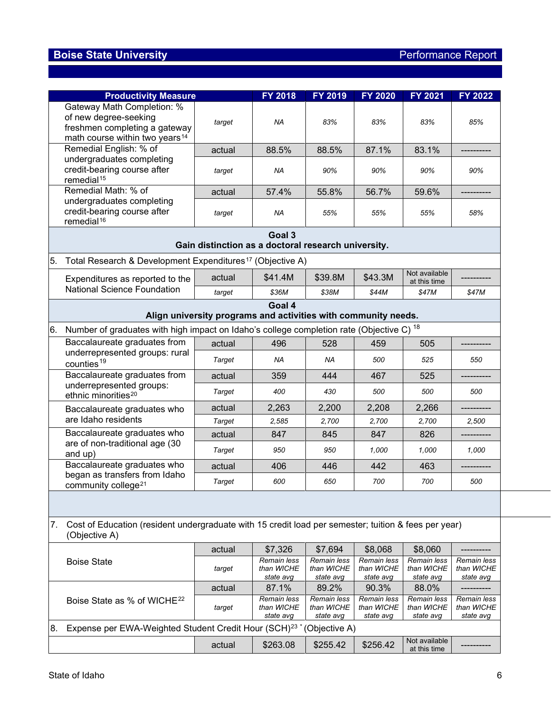|    | <b>Productivity Measure</b>                                                                                                        |                                                                | <b>FY 2018</b>                         | <b>FY 2019</b>                         | <b>FY 2020</b>                         | <b>FY 2021</b>                         | <b>FY 2022</b>                         |
|----|------------------------------------------------------------------------------------------------------------------------------------|----------------------------------------------------------------|----------------------------------------|----------------------------------------|----------------------------------------|----------------------------------------|----------------------------------------|
|    | Gateway Math Completion: %<br>of new degree-seeking<br>freshmen completing a gateway<br>math course within two years <sup>14</sup> | target                                                         | <b>NA</b>                              | 83%                                    | 83%                                    | 83%                                    | 85%                                    |
|    | Remedial English: % of                                                                                                             | actual                                                         | 88.5%                                  | 88.5%                                  | 87.1%                                  | 83.1%                                  |                                        |
|    | undergraduates completing<br>credit-bearing course after<br>remedial <sup>15</sup>                                                 | target                                                         | ΝA                                     | 90%                                    | 90%                                    | 90%                                    | 90%                                    |
|    | Remedial Math: % of                                                                                                                | actual                                                         | 57.4%                                  | 55.8%                                  | 56.7%                                  | 59.6%                                  |                                        |
|    | undergraduates completing<br>credit-bearing course after<br>remedial <sup>16</sup>                                                 | target                                                         | ΝA                                     | 55%                                    | 55%                                    | 55%                                    | 58%                                    |
|    |                                                                                                                                    | Gain distinction as a doctoral research university.            | Goal 3                                 |                                        |                                        |                                        |                                        |
| 5. | Total Research & Development Expenditures <sup>17</sup> (Objective A)                                                              |                                                                |                                        |                                        |                                        |                                        |                                        |
|    | Expenditures as reported to the                                                                                                    | actual                                                         | \$41.4M                                | \$39.8M                                | \$43.3M                                | Not available<br>at this time          |                                        |
|    | <b>National Science Foundation</b>                                                                                                 | target                                                         | \$36M                                  | \$38M                                  | \$44M                                  | \$47M                                  | \$47M                                  |
|    |                                                                                                                                    | Align university programs and activities with community needs. | Goal 4                                 |                                        |                                        |                                        |                                        |
| 6. | Number of graduates with high impact on Idaho's college completion rate (Objective C) <sup>18</sup>                                |                                                                |                                        |                                        |                                        |                                        |                                        |
|    | Baccalaureate graduates from                                                                                                       |                                                                | 496                                    | 528                                    | 459                                    | 505                                    |                                        |
|    | underrepresented groups: rural                                                                                                     | actual<br><b>Target</b>                                        | NA                                     | NA                                     | 500                                    | 525                                    | 550                                    |
|    | counties <sup>19</sup>                                                                                                             |                                                                |                                        |                                        |                                        |                                        |                                        |
|    | Baccalaureate graduates from<br>underrepresented groups:                                                                           | actual                                                         | 359                                    | 444                                    | 467                                    | 525                                    |                                        |
|    | ethnic minorities <sup>20</sup>                                                                                                    | <b>Target</b>                                                  | 400                                    | 430                                    | 500                                    | 500                                    | 500                                    |
|    | Baccalaureate graduates who                                                                                                        | actual                                                         | 2,263                                  | 2,200                                  | 2,208                                  | 2,266                                  |                                        |
|    | are Idaho residents                                                                                                                | <b>Target</b>                                                  | 2,585                                  | 2,700                                  | 2,700                                  | 2,700                                  | 2,500                                  |
|    | Baccalaureate graduates who<br>are of non-traditional age (30                                                                      | actual                                                         | 847                                    | 845                                    | 847                                    | 826                                    |                                        |
|    | and up)                                                                                                                            | <b>Target</b>                                                  | 950                                    | 950                                    | 1,000                                  | 1,000                                  | 1,000                                  |
|    | Baccalaureate graduates who                                                                                                        | actual                                                         | 406                                    | 446                                    | 442                                    | 463                                    |                                        |
|    | began as transfers from Idaho<br>community college <sup>21</sup>                                                                   | <b>Target</b>                                                  | 600                                    | 650                                    | 700                                    | 700                                    | 500                                    |
|    |                                                                                                                                    |                                                                |                                        |                                        |                                        |                                        |                                        |
| 7. | Cost of Education (resident undergraduate with 15 credit load per semester; tuition & fees per year)<br>(Objective A)              |                                                                |                                        |                                        |                                        |                                        |                                        |
|    |                                                                                                                                    | actual                                                         | \$7,326                                | \$7,694                                | \$8,068                                | \$8,060                                |                                        |
|    | <b>Boise State</b>                                                                                                                 | target                                                         | Remain less<br>than WICHE<br>state avg | Remain less<br>than WICHE<br>state avg | Remain less<br>than WICHE<br>state avg | Remain less<br>than WICHE<br>state avg | Remain less<br>than WICHE<br>state avg |
|    |                                                                                                                                    | actual                                                         | 87.1%                                  | 89.2%                                  | 90.3%                                  | 88.0%                                  |                                        |
|    | Boise State as % of WICHE <sup>22</sup>                                                                                            | target                                                         | Remain less<br>than WICHE<br>state avg | Remain less<br>than WICHE<br>state avg | Remain less<br>than WICHE<br>state avg | Remain less<br>than WICHE<br>state avg | Remain less<br>than WICHE<br>state avg |
| 8. | Expense per EWA-Weighted Student Credit Hour (SCH) <sup>23</sup>                                                                   |                                                                |                                        | (Objective A)                          |                                        |                                        |                                        |
|    |                                                                                                                                    | actual                                                         | \$263.08                               | \$255.42                               | \$256.42                               | Not available<br>at this time          |                                        |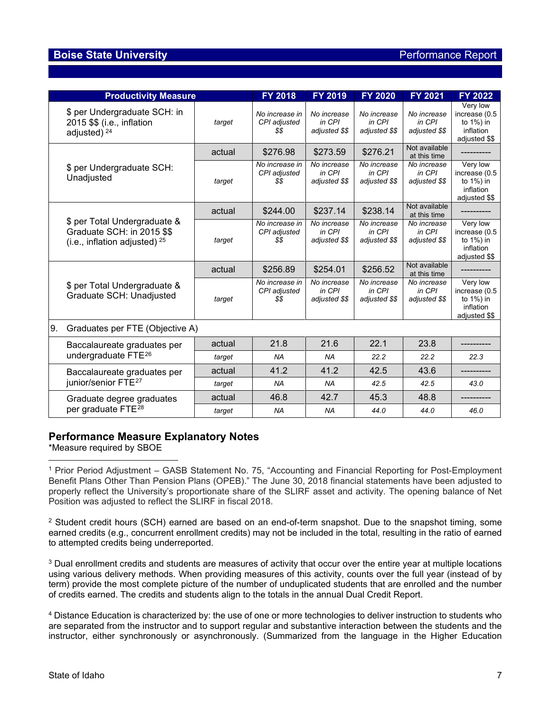## **Boise State University Performance Report**

| <b>Productivity Measure</b>                                                                      |        | <b>FY 2018</b>                         | FY 2019                                | <b>FY 2020</b>                                       | <b>FY 2021</b>                         | <b>FY 2022</b>                                                       |
|--------------------------------------------------------------------------------------------------|--------|----------------------------------------|----------------------------------------|------------------------------------------------------|----------------------------------------|----------------------------------------------------------------------|
| \$ per Undergraduate SCH: in<br>2015 \$\$ (i.e., inflation<br>adjusted) <sup>24</sup>            | target | No increase in<br>CPI adjusted<br>\$\$ | No increase<br>in CPI<br>adjusted \$\$ | No increase<br>in CPI<br>adjusted \$\$               | No increase<br>in CPI<br>adjusted \$\$ | Very low<br>increase (0.5<br>to 1%) in<br>inflation<br>adjusted \$\$ |
|                                                                                                  | actual | \$276.98                               | \$273.59                               | \$276.21                                             | Not available<br>at this time          |                                                                      |
| \$ per Undergraduate SCH:<br>Unadjusted                                                          | target | No increase in<br>CPI adjusted<br>\$\$ | No increase<br>in CPI<br>adjusted \$\$ | No increase<br>in CPI<br>adjusted \$\$               | No increase<br>in CPI<br>adjusted \$\$ | Very low<br>increase (0.5<br>to 1%) in<br>inflation<br>adjusted \$\$ |
|                                                                                                  | actual | \$244.00                               | \$237.14                               | \$238.14                                             | Not available<br>at this time          |                                                                      |
| \$ per Total Undergraduate &<br>Graduate SCH: in 2015 \$\$<br>(i.e., inflation adjusted) $^{25}$ | target | No increase in<br>CPI adjusted<br>\$\$ | No increase<br>in CPI<br>adjusted \$\$ | $\overline{N}$ o increase<br>in CPI<br>adjusted \$\$ | No increase<br>in CPI<br>adjusted \$\$ | Very low<br>increase (0.5<br>to 1%) in<br>inflation<br>adjusted \$\$ |
|                                                                                                  | actual | \$256.89                               | \$254.01                               | \$256.52                                             | Not available<br>at this time          |                                                                      |
| \$ per Total Undergraduate &<br>Graduate SCH: Unadjusted                                         | target | No increase in<br>CPI adjusted<br>\$\$ | No increase<br>in CPI<br>adjusted \$\$ | No increase<br>in CPI<br>adjusted \$\$               | No increase<br>in CPI<br>adjusted \$\$ | Very low<br>increase (0.5<br>to 1%) in<br>inflation<br>adjusted \$\$ |
| 9.<br>Graduates per FTE (Objective A)                                                            |        |                                        |                                        |                                                      |                                        |                                                                      |
| Baccalaureate graduates per                                                                      | actual | 21.8                                   | 21.6                                   | 22.1                                                 | 23.8                                   |                                                                      |
| undergraduate FTE <sup>26</sup>                                                                  | target | <b>NA</b>                              | <b>NA</b>                              | 22.2                                                 | 22.2                                   | 22.3                                                                 |
| Baccalaureate graduates per                                                                      | actual | 41.2                                   | 41.2                                   | 42.5                                                 | 43.6                                   |                                                                      |
| junior/senior FTE <sup>27</sup>                                                                  | target | <b>NA</b>                              | <b>NA</b>                              | 42.5                                                 | 42.5                                   | 43.0                                                                 |
| Graduate degree graduates                                                                        | actual | 46.8                                   | 42.7                                   | 45.3                                                 | 48.8                                   |                                                                      |
| per graduate FTE <sup>28</sup>                                                                   | target | <b>NA</b>                              | <b>NA</b>                              | 44.0                                                 | 44.0                                   | 46.0                                                                 |

#### **Performance Measure Explanatory Notes**

\*Measure required by SBOE

<span id="page-6-0"></span><sup>1</sup> Prior Period Adjustment – GASB Statement No. 75, "Accounting and Financial Reporting for Post-Employment Benefit Plans Other Than Pension Plans (OPEB)." The June 30, 2018 financial statements have been adjusted to properly reflect the University's proportionate share of the SLIRF asset and activity. The opening balance of Net Position was adjusted to reflect the SLIRF in fiscal 2018.

<span id="page-6-1"></span><sup>2</sup> Student credit hours (SCH) earned are based on an end-of-term snapshot. Due to the snapshot timing, some earned credits (e.g., concurrent enrollment credits) may not be included in the total, resulting in the ratio of earned to attempted credits being underreported.

<span id="page-6-2"></span><sup>3</sup> Dual enrollment credits and students are measures of activity that occur over the entire year at multiple locations using various delivery methods. When providing measures of this activity, counts over the full year (instead of by term) provide the most complete picture of the number of unduplicated students that are enrolled and the number of credits earned. The credits and students align to the totals in the annual Dual Credit Report.

<span id="page-6-3"></span><sup>4</sup> Distance Education is characterized by: the use of one or more technologies to deliver instruction to students who are separated from the instructor and to support regular and substantive interaction between the students and the instructor, either synchronously or asynchronously. (Summarized from the language in the Higher Education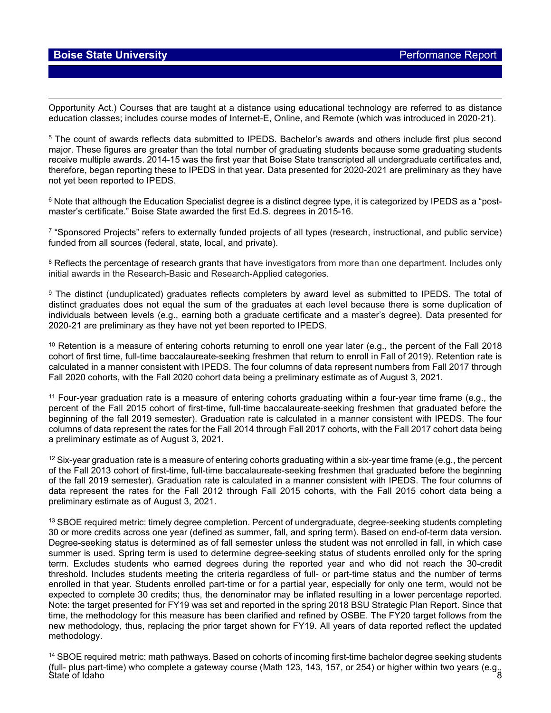Opportunity Act.) Courses that are taught at a distance using educational technology are referred to as distance education classes; includes course modes of Internet-E, Online, and Remote (which was introduced in 2020-21).

<span id="page-7-0"></span><sup>5</sup> The count of awards reflects data submitted to IPEDS. Bachelor's awards and others include first plus second major. These figures are greater than the total number of graduating students because some graduating students receive multiple awards. 2014-15 was the first year that Boise State transcripted all undergraduate certificates and, therefore, began reporting these to IPEDS in that year. Data presented for 2020-2021 are preliminary as they have not yet been reported to IPEDS.

<span id="page-7-1"></span><sup>6</sup> Note that although the Education Specialist degree is a distinct degree type, it is categorized by IPEDS as a "postmaster's certificate." Boise State awarded the first Ed.S. degrees in 2015-16.

<span id="page-7-2"></span><sup>7</sup> "Sponsored Projects" refers to externally funded projects of all types (research, instructional, and public service) funded from all sources (federal, state, local, and private).

<span id="page-7-3"></span><sup>8</sup> Reflects the percentage of research grants that have investigators from more than one department. Includes only initial awards in the Research-Basic and Research-Applied categories.

<span id="page-7-4"></span><sup>9</sup> The distinct (unduplicated) graduates reflects completers by award level as submitted to IPEDS. The total of distinct graduates does not equal the sum of the graduates at each level because there is some duplication of individuals between levels (e.g., earning both a graduate certificate and a master's degree). Data presented for 2020-21 are preliminary as they have not yet been reported to IPEDS.

<span id="page-7-5"></span><sup>10</sup> Retention is a measure of entering cohorts returning to enroll one year later (e.g., the percent of the Fall 2018 cohort of first time, full-time baccalaureate-seeking freshmen that return to enroll in Fall of 2019). Retention rate is calculated in a manner consistent with IPEDS. The four columns of data represent numbers from Fall 2017 through Fall 2020 cohorts, with the Fall 2020 cohort data being a preliminary estimate as of August 3, 2021.

<span id="page-7-6"></span><sup>11</sup> Four-year graduation rate is a measure of entering cohorts graduating within a four-year time frame (e.g., the percent of the Fall 2015 cohort of first-time, full-time baccalaureate-seeking freshmen that graduated before the beginning of the fall 2019 semester). Graduation rate is calculated in a manner consistent with IPEDS. The four columns of data represent the rates for the Fall 2014 through Fall 2017 cohorts, with the Fall 2017 cohort data being a preliminary estimate as of August 3, 2021.

<span id="page-7-7"></span><sup>12</sup> Six-year graduation rate is a measure of entering cohorts graduating within a six-year time frame (e.g., the percent of the Fall 2013 cohort of first-time, full-time baccalaureate-seeking freshmen that graduated before the beginning of the fall 2019 semester). Graduation rate is calculated in a manner consistent with IPEDS. The four columns of data represent the rates for the Fall 2012 through Fall 2015 cohorts, with the Fall 2015 cohort data being a preliminary estimate as of August 3, 2021.

<span id="page-7-8"></span><sup>13</sup> SBOE required metric: timely degree completion. Percent of undergraduate, degree-seeking students completing 30 or more credits across one year (defined as summer, fall, and spring term). Based on end-of-term data version. Degree-seeking status is determined as of fall semester unless the student was not enrolled in fall, in which case summer is used. Spring term is used to determine degree-seeking status of students enrolled only for the spring term. Excludes students who earned degrees during the reported year and who did not reach the 30-credit threshold. Includes students meeting the criteria regardless of full- or part-time status and the number of terms enrolled in that year. Students enrolled part-time or for a partial year, especially for only one term, would not be expected to complete 30 credits; thus, the denominator may be inflated resulting in a lower percentage reported. Note: the target presented for FY19 was set and reported in the spring 2018 BSU Strategic Plan Report. Since that time, the methodology for this measure has been clarified and refined by OSBE. The FY20 target follows from the new methodology, thus, replacing the prior target shown for FY19. All years of data reported reflect the updated methodology.

<span id="page-7-9"></span>State of Idaho 8 <sup>14</sup> SBOE required metric: math pathways. Based on cohorts of incoming first-time bachelor degree seeking students (full- plus part-time) who complete a gateway course (Math 123, 143, 157, or 254) or higher within two years (e.g.,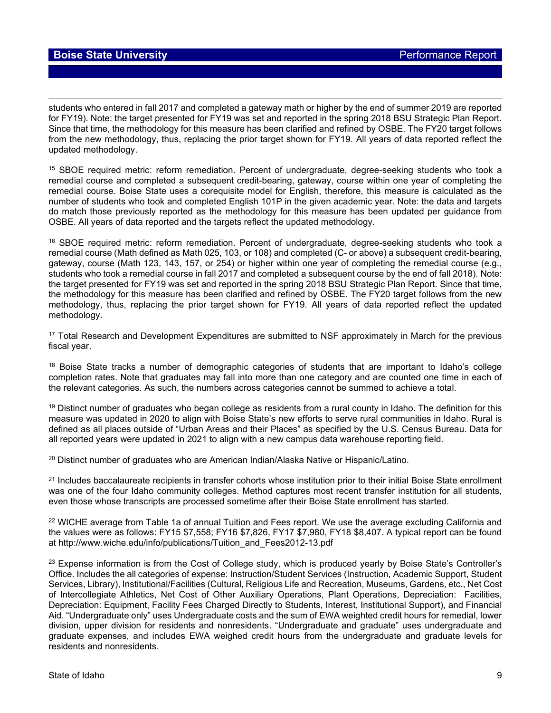students who entered in fall 2017 and completed a gateway math or higher by the end of summer 2019 are reported for FY19). Note: the target presented for FY19 was set and reported in the spring 2018 BSU Strategic Plan Report. Since that time, the methodology for this measure has been clarified and refined by OSBE. The FY20 target follows from the new methodology, thus, replacing the prior target shown for FY19. All years of data reported reflect the updated methodology.

<span id="page-8-0"></span><sup>15</sup> SBOE required metric: reform remediation. Percent of undergraduate, degree-seeking students who took a remedial course and completed a subsequent credit-bearing, gateway, course within one year of completing the remedial course. Boise State uses a corequisite model for English, therefore, this measure is calculated as the number of students who took and completed English 101P in the given academic year. Note: the data and targets do match those previously reported as the methodology for this measure has been updated per guidance from OSBE. All years of data reported and the targets reflect the updated methodology.

<span id="page-8-1"></span><sup>16</sup> SBOE required metric: reform remediation. Percent of undergraduate, degree-seeking students who took a remedial course (Math defined as Math 025, 103, or 108) and completed (C- or above) a subsequent credit-bearing, gateway, course (Math 123, 143, 157, or 254) or higher within one year of completing the remedial course (e.g., students who took a remedial course in fall 2017 and completed a subsequent course by the end of fall 2018). Note: the target presented for FY19 was set and reported in the spring 2018 BSU Strategic Plan Report. Since that time, the methodology for this measure has been clarified and refined by OSBE. The FY20 target follows from the new methodology, thus, replacing the prior target shown for FY19. All years of data reported reflect the updated methodology.

<span id="page-8-2"></span><sup>17</sup> Total Research and Development Expenditures are submitted to NSF approximately in March for the previous fiscal year.

<span id="page-8-3"></span><sup>18</sup> Boise State tracks a number of demographic categories of students that are important to Idaho's college completion rates. Note that graduates may fall into more than one category and are counted one time in each of the relevant categories. As such, the numbers across categories cannot be summed to achieve a total.

<span id="page-8-4"></span><sup>19</sup> Distinct number of graduates who began college as residents from a rural county in Idaho. The definition for this measure was updated in 2020 to align with Boise State's new efforts to serve rural communities in Idaho. Rural is defined as all places outside of "Urban Areas and their Places" as specified by the U.S. Census Bureau. Data for all reported years were updated in 2021 to align with a new campus data warehouse reporting field.

<span id="page-8-5"></span><sup>20</sup> Distinct number of graduates who are American Indian/Alaska Native or Hispanic/Latino.

<span id="page-8-6"></span><sup>21</sup> Includes baccalaureate recipients in transfer cohorts whose institution prior to their initial Boise State enrollment was one of the four Idaho community colleges. Method captures most recent transfer institution for all students, even those whose transcripts are processed sometime after their Boise State enrollment has started.

<span id="page-8-7"></span><sup>22</sup> WICHE average from Table 1a of annual Tuition and Fees report. We use the average excluding California and the values were as follows: FY15 \$7,558; FY16 \$7,826, FY17 \$7,980, FY18 \$8,407. A typical report can be found at http://www.wiche.edu/info/publications/Tuition\_and\_Fees2012-13.pdf

<span id="page-8-8"></span><sup>23</sup> Expense information is from the Cost of College study, which is produced yearly by Boise State's Controller's Office. Includes the all categories of expense: Instruction/Student Services (Instruction, Academic Support, Student Services, Library), Institutional/Facilities (Cultural, Religious Life and Recreation, Museums, Gardens, etc., Net Cost of Intercollegiate Athletics, Net Cost of Other Auxiliary Operations, Plant Operations, Depreciation: Facilities, Depreciation: Equipment, Facility Fees Charged Directly to Students, Interest, Institutional Support), and Financial Aid. "Undergraduate only" uses Undergraduate costs and the sum of EWA weighted credit hours for remedial, lower division, upper division for residents and nonresidents. "Undergraduate and graduate" uses undergraduate and graduate expenses, and includes EWA weighed credit hours from the undergraduate and graduate levels for residents and nonresidents.